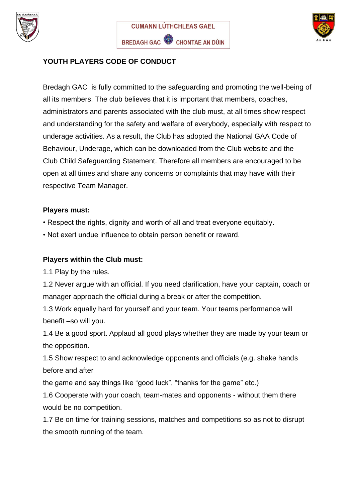





## **YOUTH PLAYERS CODE OF CONDUCT**

Bredagh GAC is fully committed to the safeguarding and promoting the well-being of all its members. The club believes that it is important that members, coaches, administrators and parents associated with the club must, at all times show respect and understanding for the safety and welfare of everybody, especially with respect to underage activities. As a result, the Club has adopted the National GAA Code of Behaviour, Underage, which can be downloaded from the Club website and the Club Child Safeguarding Statement. Therefore all members are encouraged to be open at all times and share any concerns or complaints that may have with their respective Team Manager.

## **Players must:**

• Respect the rights, dignity and worth of all and treat everyone equitably.

• Not exert undue influence to obtain person benefit or reward.

## **Players within the Club must:**

1.1 Play by the rules.

1.2 Never argue with an official. If you need clarification, have your captain, coach or manager approach the official during a break or after the competition.

1.3 Work equally hard for yourself and your team. Your teams performance will benefit –so will you.

1.4 Be a good sport. Applaud all good plays whether they are made by your team or the opposition.

1.5 Show respect to and acknowledge opponents and officials (e.g. shake hands before and after

the game and say things like "good luck", "thanks for the game" etc.)

1.6 Cooperate with your coach, team-mates and opponents - without them there would be no competition.

1.7 Be on time for training sessions, matches and competitions so as not to disrupt the smooth running of the team.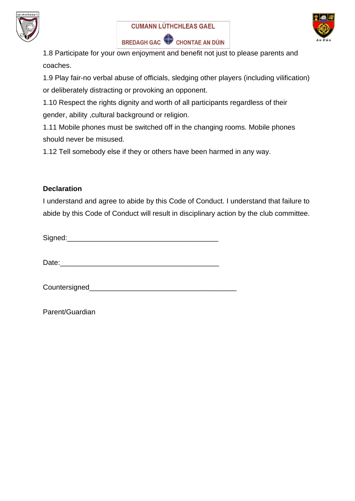





1.8 Participate for your own enjoyment and benefit not just to please parents and coaches.

1.9 Play fair-no verbal abuse of officials, sledging other players (including vilification) or deliberately distracting or provoking an opponent.

1.10 Respect the rights dignity and worth of all participants regardless of their gender, ability ,cultural background or religion.

1.11 Mobile phones must be switched off in the changing rooms. Mobile phones should never be misused.

1.12 Tell somebody else if they or others have been harmed in any way.

## **Declaration**

I understand and agree to abide by this Code of Conduct. I understand that failure to abide by this Code of Conduct will result in disciplinary action by the club committee.

Signed:

Date:

Countersigned\_\_\_\_\_\_\_\_\_\_\_\_\_\_\_\_\_\_\_\_\_\_\_\_\_\_\_\_\_\_\_\_\_\_\_\_\_

Parent/Guardian